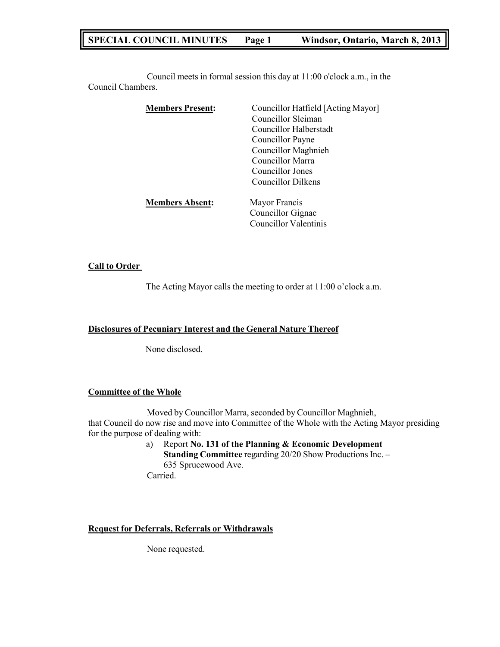# **SPECIAL COUNCIL MINUTES Page 1 Windsor, Ontario, March 8, 2013**

Council meets in formal session this day at 11:00 o'clock a.m., in the Council Chambers.

| <b>Members Present:</b> | Councillor Hatfield [Acting Mayor]<br>Councillor Sleiman<br>Councillor Halberstadt<br>Councillor Payne<br><b>Councillor Maghnieh</b><br>Councillor Marra<br>Councillor Jones |
|-------------------------|------------------------------------------------------------------------------------------------------------------------------------------------------------------------------|
| <b>Members Absent:</b>  | Councillor Dilkens<br>Mayor Francis                                                                                                                                          |
|                         | Councillor Gignac<br><b>Councillor Valentinis</b>                                                                                                                            |

#### **Call to Order**

The Acting Mayor calls the meeting to order at 11:00 o'clock a.m.

**Disclosures of Pecuniary Interest and the General Nature Thereof**

None disclosed.

### **Committee of the Whole**

Moved by Councillor Marra, seconded by Councillor Maghnieh, that Council do now rise and move into Committee of the Whole with the Acting Mayor presiding for the purpose of dealing with:

a) Report **No. 131 of the Planning & Economic Development Standing Committee** regarding 20/20 Show Productions Inc. – 635 Sprucewood Ave. Carried.

#### **Request for Deferrals, Referrals or Withdrawals**

None requested.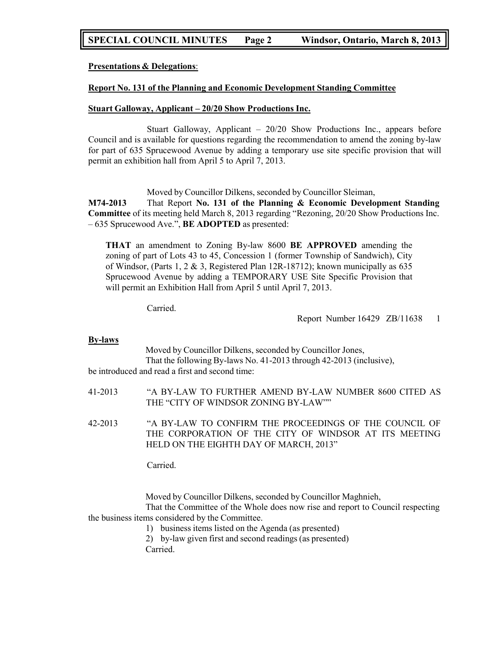# **SPECIAL COUNCIL MINUTES Page 2 Windsor, Ontario, March 8, 2013**

**Presentations & Delegations**:

#### **Report No. 131 of the Planning and Economic Development Standing Committee**

#### **Stuart Galloway, Applicant – 20/20 Show Productions Inc.**

Stuart Galloway, Applicant – 20/20 Show Productions Inc., appears before Council and is available for questions regarding the recommendation to amend the zoning by-law for part of 635 Sprucewood Avenue by adding a temporary use site specific provision that will permit an exhibition hall from April 5 to April 7, 2013.

Moved by Councillor Dilkens, seconded by Councillor Sleiman,

**M74-2013** That Report **No. 131 of the Planning & Economic Development Standing Committee** of its meeting held March 8, 2013 regarding "Rezoning, 20/20 Show Productions Inc. – 635 Sprucewood Ave.", **BE ADOPTED** as presented:

**THAT** an amendment to Zoning By-law 8600 **BE APPROVED** amending the zoning of part of Lots 43 to 45, Concession 1 (former Township of Sandwich), City of Windsor, (Parts 1, 2  $\&$  3, Registered Plan 12R-18712); known municipally as 635 Sprucewood Avenue by adding a TEMPORARY USE Site Specific Provision that will permit an Exhibition Hall from April 5 until April 7, 2013.

Carried.

Report Number 16429 ZB/11638 1

#### **By-laws**

Moved by Councillor Dilkens, seconded by Councillor Jones, That the following By-laws No. 41-2013 through 42-2013 (inclusive),

be introduced and read a first and second time:

41-2013 "A BY-LAW TO FURTHER AMEND BY-LAW NUMBER 8600 CITED AS THE "CITY OF WINDSOR ZONING BY-LAW""

42-2013 "A BY-LAW TO CONFIRM THE PROCEEDINGS OF THE COUNCIL OF THE CORPORATION OF THE CITY OF WINDSOR AT ITS MEETING HELD ON THE EIGHTH DAY OF MARCH, 2013"

Carried.

Moved by Councillor Dilkens, seconded by Councillor Maghnieh,

That the Committee of the Whole does now rise and report to Council respecting the business items considered by the Committee.

- 1) business items listed on the Agenda (as presented)
- 2) by-law given first and second readings (as presented)

Carried.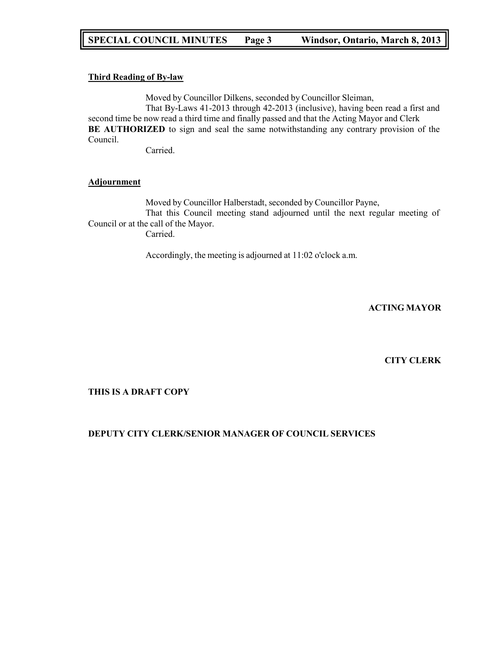#### **Third Reading of By-law**

Moved by Councillor Dilkens, seconded by Councillor Sleiman,

That By-Laws 41-2013 through 42-2013 (inclusive), having been read a first and second time be now read a third time and finally passed and that the Acting Mayor and Clerk **BE AUTHORIZED** to sign and seal the same notwithstanding any contrary provision of the Council.

Carried.

### **Adjournment**

Moved by Councillor Halberstadt, seconded by Councillor Payne, That this Council meeting stand adjourned until the next regular meeting of Council or at the call of the Mayor. Carried.

Accordingly, the meeting is adjourned at 11:02 o'clock a.m.

**ACTING MAYOR**

### **CITY CLERK**

### **THIS IS A DRAFT COPY**

### **DEPUTY CITY CLERK/SENIOR MANAGER OF COUNCIL SERVICES**